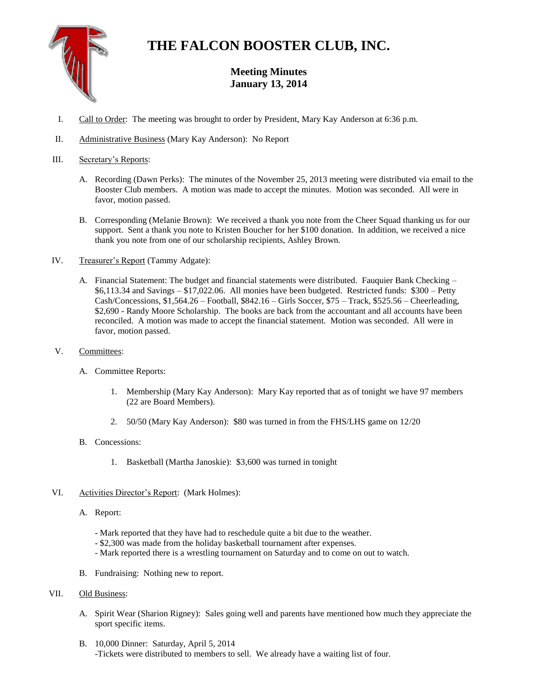

## **THE FALCON BOOSTER CLUB, INC.**

## **Meeting Minutes January 13, 2014**

- I. Call to Order: The meeting was brought to order by President, Mary Kay Anderson at 6:36 p.m.
- II. Administrative Business (Mary Kay Anderson): No Report
- III. Secretary's Reports:
	- A. Recording (Dawn Perks): The minutes of the November 25, 2013 meeting were distributed via email to the Booster Club members. A motion was made to accept the minutes. Motion was seconded. All were in favor, motion passed.
	- B. Corresponding (Melanie Brown): We received a thank you note from the Cheer Squad thanking us for our support. Sent a thank you note to Kristen Boucher for her \$100 donation. In addition, we received a nice thank you note from one of our scholarship recipients, Ashley Brown.
- IV. Treasurer's Report (Tammy Adgate):
	- A. Financial Statement: The budget and financial statements were distributed. Fauquier Bank Checking \$6,113.34 and Savings – \$17,022.06. All monies have been budgeted. Restricted funds: \$300 – Petty Cash/Concessions, \$1,564.26 – Football, \$842.16 – Girls Soccer, \$75 – Track, \$525.56 – Cheerleading, \$2,690 - Randy Moore Scholarship. The books are back from the accountant and all accounts have been reconciled. A motion was made to accept the financial statement. Motion was seconded. All were in favor, motion passed.
- V. Committees:
	- A. Committee Reports:
		- 1. Membership (Mary Kay Anderson): Mary Kay reported that as of tonight we have 97 members (22 are Board Members).
		- 2. 50/50 (Mary Kay Anderson): \$80 was turned in from the FHS/LHS game on 12/20
	- B. Concessions:
		- 1. Basketball (Martha Janoskie): \$3,600 was turned in tonight
- VI. Activities Director's Report: (Mark Holmes):
	- A. Report:
		- Mark reported that they have had to reschedule quite a bit due to the weather.
		- \$2,300 was made from the holiday basketball tournament after expenses.
		- Mark reported there is a wrestling tournament on Saturday and to come on out to watch.
	- B. Fundraising: Nothing new to report.

## VII. Old Business:

- A. Spirit Wear (Sharion Rigney): Sales going well and parents have mentioned how much they appreciate the sport specific items.
- B. 10,000 Dinner: Saturday, April 5, 2014 -Tickets were distributed to members to sell. We already have a waiting list of four.